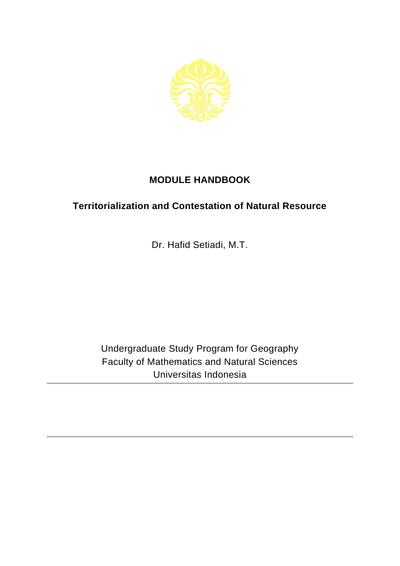

## **MODULE HANDBOOK**

## **Territorialization and Contestation of Natural Resource**

Dr. Hafid Setiadi, M.T.

Undergraduate Study Program for Geography Faculty of Mathematics and Natural Sciences Universitas Indonesia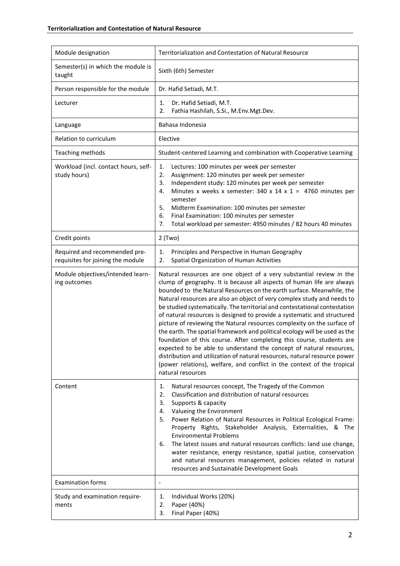| Module designation                                                 | Territorialization and Contestation of Natural Resource                                                                                                                                                                                                                                                                                                                                                                                                                                                                                                                                                                                                                                                                                                                                                                                                                                                                                           |
|--------------------------------------------------------------------|---------------------------------------------------------------------------------------------------------------------------------------------------------------------------------------------------------------------------------------------------------------------------------------------------------------------------------------------------------------------------------------------------------------------------------------------------------------------------------------------------------------------------------------------------------------------------------------------------------------------------------------------------------------------------------------------------------------------------------------------------------------------------------------------------------------------------------------------------------------------------------------------------------------------------------------------------|
| Semester(s) in which the module is<br>taught                       | Sixth (6th) Semester                                                                                                                                                                                                                                                                                                                                                                                                                                                                                                                                                                                                                                                                                                                                                                                                                                                                                                                              |
| Person responsible for the module                                  | Dr. Hafid Setiadi, M.T.                                                                                                                                                                                                                                                                                                                                                                                                                                                                                                                                                                                                                                                                                                                                                                                                                                                                                                                           |
| Lecturer                                                           | Dr. Hafid Setiadi, M.T.<br>1.<br>2.<br>Fathia Hashilah, S.Si., M.Env.Mgt.Dev.                                                                                                                                                                                                                                                                                                                                                                                                                                                                                                                                                                                                                                                                                                                                                                                                                                                                     |
| Language                                                           | Bahasa Indonesia                                                                                                                                                                                                                                                                                                                                                                                                                                                                                                                                                                                                                                                                                                                                                                                                                                                                                                                                  |
| Relation to curriculum                                             | Elective                                                                                                                                                                                                                                                                                                                                                                                                                                                                                                                                                                                                                                                                                                                                                                                                                                                                                                                                          |
| Teaching methods                                                   | Student-centered Learning and combination with Cooperative Learning                                                                                                                                                                                                                                                                                                                                                                                                                                                                                                                                                                                                                                                                                                                                                                                                                                                                               |
| Workload (incl. contact hours, self-<br>study hours)               | 1.<br>Lectures: 100 minutes per week per semester<br>Assignment: 120 minutes per week per semester<br>2.<br>Independent study: 120 minutes per week per semester<br>3.<br>Minutes x weeks x semester: $340 \times 14 \times 1 = 4760$ minutes per<br>4.<br>semester<br>Midterm Examination: 100 minutes per semester<br>5.<br>Final Examination: 100 minutes per semester<br>6.<br>Total workload per semester: 4950 minutes / 82 hours 40 minutes<br>7.                                                                                                                                                                                                                                                                                                                                                                                                                                                                                          |
| Credit points                                                      | $2$ (Two)                                                                                                                                                                                                                                                                                                                                                                                                                                                                                                                                                                                                                                                                                                                                                                                                                                                                                                                                         |
| Required and recommended pre-<br>requisites for joining the module | Principles and Perspective in Human Geography<br>1.<br>2.<br>Spatial Organization of Human Activities                                                                                                                                                                                                                                                                                                                                                                                                                                                                                                                                                                                                                                                                                                                                                                                                                                             |
| Module objectives/intended learn-<br>ing outcomes                  | Natural resources are one object of a very substantial review in the<br>clump of geography. It is because all aspects of human life are always<br>bounded to the Natural Resources on the earth surface. Meanwhile, the<br>Natural resources are also an object of very complex study and needs to<br>be studied systematically. The territorial and contestational contestation<br>of natural resources is designed to provide a systematic and structured<br>picture of reviewing the Natural resources complexity on the surface of<br>the earth. The spatial framework and political ecology will be used as the<br>foundation of this course. After completing this course, students are<br>expected to be able to understand the concept of natural resources,<br>distribution and utilization of natural resources, natural resource power<br>(power relations), welfare, and conflict in the context of the tropical<br>natural resources |
| Content                                                            | Natural resources concept, The Tragedy of the Common<br>1.<br>Classification and distribution of natural resources<br>2.<br>Supports & capacity<br>3.<br>4. Valueing the Environment<br>5. Power Relation of Natural Resources in Political Ecological Frame:<br>Property Rights, Stakeholder Analysis, Externalities, & The<br><b>Environmental Problems</b><br>The latest issues and natural resources conflicts: land use change,<br>6.<br>water resistance, energy resistance, spatial justice, conservation<br>and natural resources management, policies related in natural<br>resources and Sustainable Development Goals                                                                                                                                                                                                                                                                                                                  |
| <b>Examination forms</b>                                           | $\overline{\phantom{a}}$                                                                                                                                                                                                                                                                                                                                                                                                                                                                                                                                                                                                                                                                                                                                                                                                                                                                                                                          |
| Study and examination require-<br>ments                            | Individual Works (20%)<br>1.<br>Paper (40%)<br>2.<br>Final Paper (40%)<br>3.                                                                                                                                                                                                                                                                                                                                                                                                                                                                                                                                                                                                                                                                                                                                                                                                                                                                      |